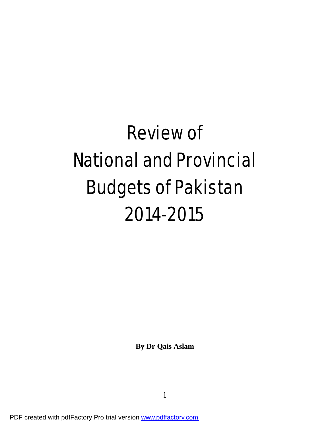# Review of National and Provincial Budgets of Pakistan 2014-2015

**By Dr Qais Aslam**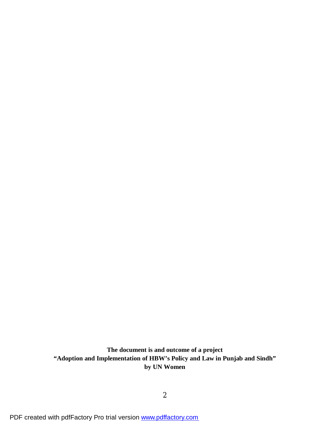**The document is and outcome of a project "Adoption and Implementation of HBW's Policy and Law in Punjab and Sindh" by UN Women**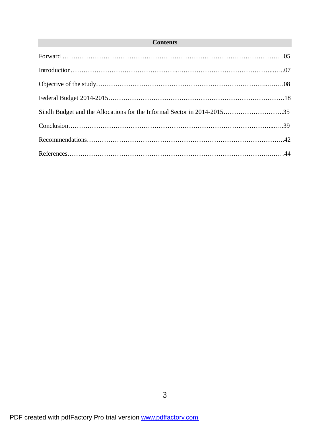# **Contents**

| Sindh Budget and the Allocations for the Informal Sector in 2014-201535 |  |
|-------------------------------------------------------------------------|--|
|                                                                         |  |
|                                                                         |  |
|                                                                         |  |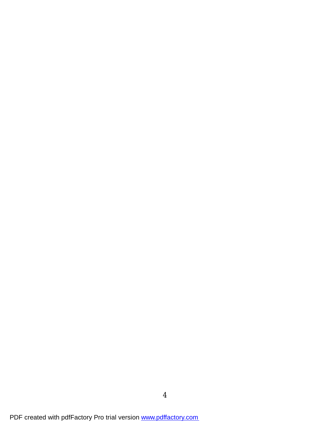PDF created with pdfFactory Pro trial version [www.pdffactory.com](http://www.pdffactory.com)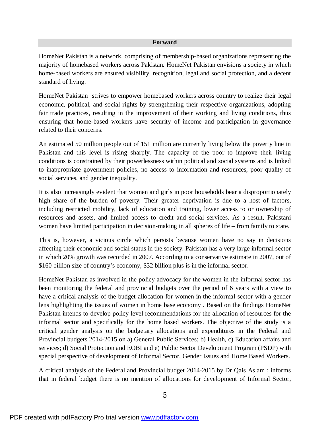#### **Forward**

HomeNet Pakistan is a network, comprising of membership-based organizations representing the majority of homebased workers across Pakistan. HomeNet Pakistan envisions a society in which home-based workers are ensured visibility, recognition, legal and social protection, and a decent standard of living.

HomeNet Pakistan strives to empower homebased workers across country to realize their legal economic, political, and social rights by strengthening their respective organizations, adopting fair trade practices, resulting in the improvement of their working and living conditions, thus ensuring that home-based workers have security of income and participation in governance related to their concerns.

An estimated 50 million people out of 151 million are currently living below the poverty line in Pakistan and this level is rising sharply. The capacity of the poor to improve their living conditions is constrained by their powerlessness within political and social systems and is linked to inappropriate government policies, no access to information and resources, poor quality of social services, and gender inequality.

It is also increasingly evident that women and girls in poor households bear a disproportionately high share of the burden of poverty. Their greater deprivation is due to a host of factors, including restricted mobility, lack of education and training, lower access to or ownership of resources and assets, and limited access to credit and social services. As a result, Pakistani women have limited participation in decision-making in all spheres of life – from family to state.

This is, however, a vicious circle which persists because women have no say in decisions affecting their economic and social status in the society. Pakistan has a very large informal sector in which 20% growth was recorded in 2007. According to a conservative estimate in 2007, out of \$160 billion size of country's economy, \$32 billion plus is in the informal sector.

HomeNet Pakistan as involved in the policy advocacy for the women in the informal sector has been monitoring the federal and provincial budgets over the period of 6 years with a view to have a critical analysis of the budget allocation for women in the informal sector with a gender lens highlighting the issues of women in home base economy . Based on the findings HomeNet Pakistan intends to develop policy level recommendations for the allocation of resources for the informal sector and specifically for the home based workers. The objective of the study is a critical gender analysis on the budgetary allocations and expenditures in the Federal and Provincial budgets 2014-2015 on a) General Public Services; b) Health, c) Education affairs and services; d) Social Protection and EOBI and e) Public Sector Development Program (PSDP) with special perspective of development of Informal Sector, Gender Issues and Home Based Workers.

A critical analysis of the Federal and Provincial budget 2014-2015 by Dr Qais Aslam ; informs that in federal budget there is no mention of allocations for development of Informal Sector,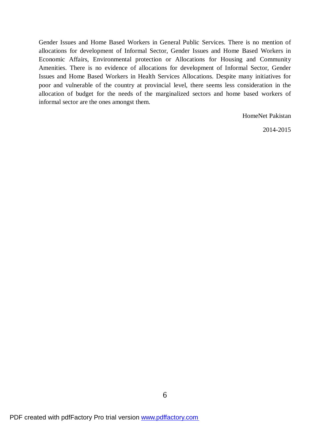Gender Issues and Home Based Workers in General Public Services. There is no mention of allocations for development of Informal Sector, Gender Issues and Home Based Workers in Economic Affairs, Environmental protection or Allocations for Housing and Community Amenities. There is no evidence of allocations for development of Informal Sector, Gender Issues and Home Based Workers in Health Services Allocations. Despite many initiatives for poor and vulnerable of the country at provincial level, there seems less consideration in the allocation of budget for the needs of the marginalized sectors and home based workers of informal sector are the ones amongst them.

HomeNet Pakistan

2014-2015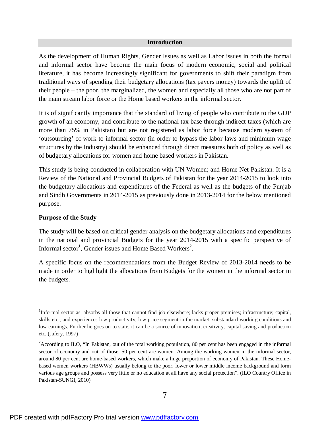#### **Introduction**

As the development of Human Rights, Gender Issues as well as Labor issues in both the formal and informal sector have become the main focus of modern economic, social and political literature, it has become increasingly significant for governments to shift their paradigm from traditional ways of spending their budgetary allocations (tax payers money) towards the uplift of their people – the poor, the marginalized, the women and especially all those who are not part of the main stream labor force or the Home based workers in the informal sector.

It is of significantly importance that the standard of living of people who contribute to the GDP growth of an economy, and contribute to the national tax base through indirect taxes (which are more than 75% in Pakistan) but are not registered as labor force because modern system of 'outsourcing' of work to informal sector (in order to bypass the labor laws and minimum wage structures by the Industry) should be enhanced through direct measures both of policy as well as of budgetary allocations for women and home based workers in Pakistan.

This study is being conducted in collaboration with UN Women; and Home Net Pakistan. It is a Review of the National and Provincial Budgets of Pakistan for the year 2014-2015 to look into the budgetary allocations and expenditures of the Federal as well as the budgets of the Punjab and Sindh Governments in 2014-2015 as previously done in 2013-2014 for the below mentioned purpose.

#### **Purpose of the Study**

 $\overline{\phantom{a}}$ 

The study will be based on critical gender analysis on the budgetary allocations and expenditures in the national and provincial Budgets for the year 2014-2015 with a specific perspective of Informal sector<sup>1</sup>, Gender issues and Home Based Workers<sup>2</sup>.

A specific focus on the recommendations from the Budget Review of 2013-2014 needs to be made in order to highlight the allocations from Budgets for the women in the informal sector in the budgets.

<sup>&</sup>lt;sup>1</sup>Informal sector as, absorbs all those that cannot find job elsewhere; lacks proper premises; infrastructure; capital, skills etc.; and experiences low productivity, low price segment in the market, substandard working conditions and low earnings. Further he goes on to state, it can be a source of innovation, creativity, capital saving and production etc. (Jafery, 1997)

<sup>&</sup>lt;sup>2</sup> According to ILO, "In Pakistan, out of the total working population, 80 per cent has been engaged in the informal sector of economy and out of those, 50 per cent are women. Among the working women in the informal sector, around 80 per cent are home-based workers, which make a huge proportion of economy of Pakistan. These Homebased women workers (HBWWs) usually belong to the poor, lower or lower middle income background and form various age groups and possess very little or no education at all have any social protection". (ILO Country Office in Pakistan-SUNGI, 2010)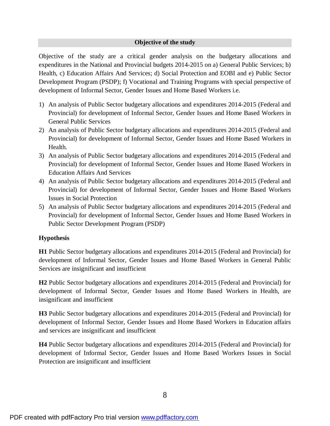## **Objective of the study**

Objective of the study are a critical gender analysis on the budgetary allocations and expenditures in the National and Provincial budgets 2014-2015 on a) General Public Services; b) Health, c) Education Affairs And Services; d) Social Protection and EOBI and e) Public Sector Development Program (PSDP); f) Vocational and Training Programs with special perspective of development of Informal Sector, Gender Issues and Home Based Workers i.e.

- 1) An analysis of Public Sector budgetary allocations and expenditures 2014-2015 (Federal and Provincial) for development of Informal Sector, Gender Issues and Home Based Workers in General Public Services
- 2) An analysis of Public Sector budgetary allocations and expenditures 2014-2015 (Federal and Provincial) for development of Informal Sector, Gender Issues and Home Based Workers in Health.
- 3) An analysis of Public Sector budgetary allocations and expenditures 2014-2015 (Federal and Provincial) for development of Informal Sector, Gender Issues and Home Based Workers in Education Affairs And Services
- 4) An analysis of Public Sector budgetary allocations and expenditures 2014-2015 (Federal and Provincial) for development of Informal Sector, Gender Issues and Home Based Workers Issues in Social Protection
- 5) An analysis of Public Sector budgetary allocations and expenditures 2014-2015 (Federal and Provincial) for development of Informal Sector, Gender Issues and Home Based Workers in Public Sector Development Program (PSDP)

## **Hypothesis**

**H1** Public Sector budgetary allocations and expenditures 2014-2015 (Federal and Provincial) for development of Informal Sector, Gender Issues and Home Based Workers in General Public Services are insignificant and insufficient

**H2** Public Sector budgetary allocations and expenditures 2014-2015 (Federal and Provincial) for development of Informal Sector, Gender Issues and Home Based Workers in Health, are insignificant and insufficient

**H3** Public Sector budgetary allocations and expenditures 2014-2015 (Federal and Provincial) for development of Informal Sector, Gender Issues and Home Based Workers in Education affairs and services are insignificant and insufficient

**H4** Public Sector budgetary allocations and expenditures 2014-2015 (Federal and Provincial) for development of Informal Sector, Gender Issues and Home Based Workers Issues in Social Protection are insignificant and insufficient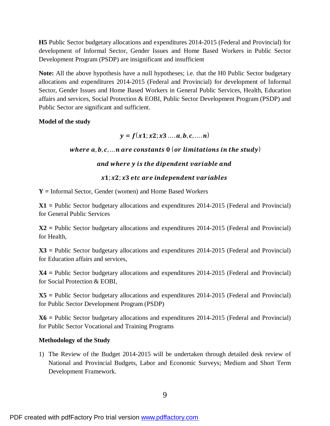**H5** Public Sector budgetary allocations and expenditures 2014-2015 (Federal and Provincial) for development of Informal Sector, Gender Issues and Home Based Workers in Public Sector Development Program (PSDP) are insignificant and insufficient

**Note:** All the above hypothesis have a null hypotheses; i.e. that the H0 Public Sector budgetary allocations and expenditures 2014-2015 (Federal and Provincial) for development of Informal Sector, Gender Issues and Home Based Workers in General Public Services, Health, Education affairs and services, Social Protection & EOBI, Public Sector Development Program (PSDP) and Public Sector are significant and sufficient.

## **Model of the study**

$$
y = f(x1; x2; x3 \dots a, b, c, \dots n)
$$

## where  $a, b, c, ...$  n are constants  $0$  (or limitations in the study)

## and where y is the dipendent variable and

## $x1; x2; x3$  etc are independent variables

**Y =** Informal Sector, Gender (women) and Home Based Workers

**X1 =** Public Sector budgetary allocations and expenditures 2014-2015 (Federal and Provincial) for General Public Services

**X2 =** Public Sector budgetary allocations and expenditures 2014-2015 (Federal and Provincial) for Health,

**X3 =** Public Sector budgetary allocations and expenditures 2014-2015 (Federal and Provincial) for Education affairs and services,

**X4 =** Public Sector budgetary allocations and expenditures 2014-2015 (Federal and Provincial) for Social Protection & EOBI,

**X5 =** Public Sector budgetary allocations and expenditures 2014-2015 (Federal and Provincial) for Public Sector Development Program (PSDP)

**X6 =** Public Sector budgetary allocations and expenditures 2014-2015 (Federal and Provincial) for Public Sector Vocational and Training Programs

## **Methodology of the Study**

1) The Review of the Budget 2014-2015 will be undertaken through detailed desk review of National and Provincial Budgets, Labor and Economic Surveys; Medium and Short Term Development Framework.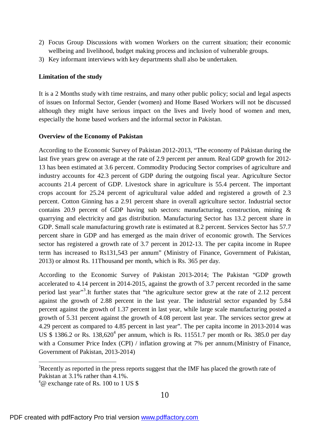- 2) Focus Group Discussions with women Workers on the current situation; their economic wellbeing and livelihood, budget making process and inclusion of vulnerable groups.
- 3) Key informant interviews with key departments shall also be undertaken.

#### **Limitation of the study**

It is a 2 Months study with time restrains, and many other public policy; social and legal aspects of issues on Informal Sector, Gender (women) and Home Based Workers will not be discussed although they might have serious impact on the lives and lively hood of women and men, especially the home based workers and the informal sector in Pakistan.

#### **Overview of the Economy of Pakistan**

According to the Economic Survey of Pakistan 2012-2013, "The economy of Pakistan during the last five years grew on average at the rate of 2.9 percent per annum. Real GDP growth for 2012- 13 has been estimated at 3.6 percent. Commodity Producing Sector comprises of agriculture and industry accounts for 42.3 percent of GDP during the outgoing fiscal year. Agriculture Sector accounts 21.4 percent of GDP. Livestock share in agriculture is 55.4 percent. The important crops account for 25.24 percent of agricultural value added and registered a growth of 2.3 percent. Cotton Ginning has a 2.91 percent share in overall agriculture sector. Industrial sector contains 20.9 percent of GDP having sub sectors: manufacturing, construction, mining & quarrying and electricity and gas distribution. Manufacturing Sector has 13.2 percent share in GDP. Small scale manufacturing growth rate is estimated at 8.2 percent. Services Sector has 57.7 percent share in GDP and has emerged as the main driver of economic growth. The Services sector has registered a growth rate of 3.7 percent in 2012-13. The per capita income in Rupee term has increased to Rs131,543 per annum" (Ministry of Finance, Government of Pakistan, 2013) or almost Rs. 11Thousand per month, which is Rs. 365 per day.

According to the Economic Survey of Pakistan 2013-2014; The Pakistan "GDP growth accelerated to 4.14 percent in 2014-2015, against the growth of 3.7 percent recorded in the same period last year"<sup>3</sup>. It further states that "the agriculture sector grew at the rate of 2.12 percent against the growth of 2.88 percent in the last year. The industrial sector expanded by 5.84 percent against the growth of 1.37 percent in last year, while large scale manufacturing posted a growth of 5.31 percent against the growth of 4.08 percent last year. The services sector grew at 4.29 percent as compared to 4.85 percent in last year". The per capita income in 2013-2014 was US \$ 1386.2 or Rs. 138,620<sup>4</sup> per annum, which is Rs. 11551.7 per month or Rs. 385.0 per day with a Consumer Price Index (CPI) / inflation growing at 7% per annum. (Ministry of Finance, Government of Pakistan, 2013-2014)

**.** 

<sup>&</sup>lt;sup>3</sup>Recently as reported in the press reports suggest that the IMF has placed the growth rate of Pakistan at 3.1% rather than 4.1%.

 $4\omega$  exchange rate of Rs. 100 to 1 US \$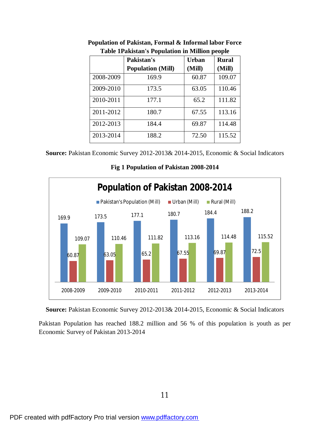|           | Pakistan's               | <b>Urban</b> | <b>Rural</b> |
|-----------|--------------------------|--------------|--------------|
|           | <b>Population (Mill)</b> | (Mill)       | (Mill)       |
| 2008-2009 | 169.9                    | 60.87        | 109.07       |
| 2009-2010 | 173.5                    | 63.05        | 110.46       |
| 2010-2011 | 177.1                    | 65.2         | 111.82       |
| 2011-2012 | 180.7                    | 67.55        | 113.16       |
| 2012-2013 | 184.4                    | 69.87        | 114.48       |
| 2013-2014 | 188.2                    | 72.50        | 115.52       |

**Population of Pakistan, Formal & Informal labor Force Table 1Pakistan's Population in Million people** 

**Fig 1 Population of Pakistan 2008-2014**



**Source:** Pakistan Economic Survey 2012-2013& 2014-2015, Economic & Social Indicators

Pakistan Population has reached 188.2 million and 56 % of this population is youth as per Economic Survey of Pakistan 2013-2014

**Source:** Pakistan Economic Survey 2012-2013& 2014-2015, Economic & Social Indicators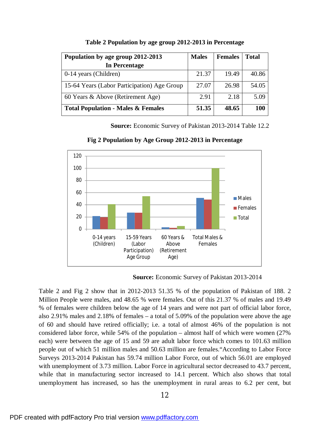| Population by age group 2012-2013             | <b>Males</b> | <b>Females</b> | <b>Total</b> |
|-----------------------------------------------|--------------|----------------|--------------|
| In Percentage                                 |              |                |              |
| 0-14 years (Children)                         | 21.37        | 19.49          | 40.86        |
| 15-64 Years (Labor Participation) Age Group   | 27.07        | 26.98          | 54.05        |
| 60 Years & Above (Retirement Age)             | 2.91         | 2.18           | 5.09         |
| <b>Total Population - Males &amp; Females</b> | 51.35        | 48.65          | 100          |

#### **Table 2 Population by age group 2012-2013 in Percentage**

**Source:** Economic Survey of Pakistan 2013-2014 Table 12.2



**Fig 2 Population by Age Group 2012-2013 in Percentage** 

**Source:** Economic Survey of Pakistan 2013-2014

Table 2 and Fig 2 show that in 2012-2013 51.35 % of the population of Pakistan of 188. 2 Million People were males, and 48.65 % were females. Out of this 21.37 % of males and 19.49 % of females were children below the age of 14 years and were not part of official labor force, also 2.91% males and 2.18% of females – a total of 5.09% of the population were above the age of 60 and should have retired officially; i.e. a total of almost 46% of the population is not considered labor force, while 54% of the population – almost half of which were women (27% each) were between the age of 15 and 59 are adult labor force which comes to 101.63 million people out of which 51 million males and 50.63 million are females."According to Labor Force Surveys 2013-2014 Pakistan has 59.74 million Labor Force, out of which 56.01 are employed with unemployment of 3.73 million. Labor Force in agricultural sector decreased to 43.7 percent, while that in manufacturing sector increased to 14.1 percent. Which also shows that total unemployment has increased, so has the unemployment in rural areas to 6.2 per cent, but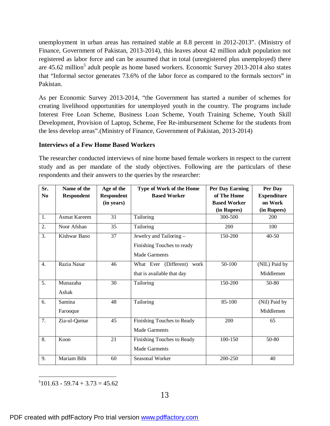unemployment in urban areas has remained stable at 8.8 percent in 2012-2013". (Ministry of Finance, Government of Pakistan, 2013-2014), this leaves about 42 million adult population not registered as labor force and can be assumed that in total (unregistered plus unemployed) there are 45.62 million<sup>5</sup> adult people as home based workers. Economic Survey 2013-2014 also states that "Informal sector generates 73.6% of the labor force as compared to the formals sectors" in Pakistan.

As per Economic Survey 2013-2014, "the Government has started a number of schemes for creating livelihood opportunities for unemployed youth in the country. The programs include Interest Free Loan Scheme, Business Loan Scheme, Youth Training Scheme, Youth Skill Development, Provision of Laptop, Scheme, Fee Re-imbursement Scheme for the students from the less develop areas".(Ministry of Finance, Government of Pakistan, 2013-2014)

## **Interviews of a Few Home Based Workers**

The researcher conducted interviews of nine home based female workers in respect to the current study and as per mandate of the study objectives. Following are the particulars of these respondents and their answers to the queries by the researcher:

| Sr.              | Name of the         | Age of the        | Type of Work of the Home      | <b>Per Day Earning</b> | Per Day            |
|------------------|---------------------|-------------------|-------------------------------|------------------------|--------------------|
| N <sub>0</sub>   | <b>Respondent</b>   | <b>Respondent</b> | <b>Based Worker</b>           | of The Home            | <b>Expenditure</b> |
|                  |                     | (in years)        |                               | <b>Based Worker</b>    | on Work            |
|                  |                     |                   |                               | (in Rupees)            | (in Rupees)        |
| 1.               | <b>Asmat Kareem</b> | 31                | Tailoring                     | 300-500                | 200                |
| 2.               | Noor Afshan         | 35                | Tailoring                     | 200                    | 100                |
| 3.               | Kishwar Bano        | 37                | Jewelry and Tailoring -       | 150-200                | $40 - 50$          |
|                  |                     |                   | Finishing Touches to ready    |                        |                    |
|                  |                     |                   | Made Garments                 |                        |                    |
| 4.               | Razia Nasar         | 46                | What Ever (Different)<br>work | 50-100                 | (NIL) Paid by      |
|                  |                     |                   | that is available that day    |                        | Middlemen          |
| $\overline{5}$ . | Munazaha            | 30                | Tailoring                     | 150-200                | 50-80              |
|                  | Ashak               |                   |                               |                        |                    |
| $\overline{6}$ . | Samina              | 48                | Tailoring                     | 85-100                 | (Nil) Paid by      |
|                  | Farooque            |                   |                               |                        | Middlemen          |
| 7.               | Zia-ul-Qamar        | 45                | Finishing Touches to Ready    | 200                    | 65                 |
|                  |                     |                   | Made Garments                 |                        |                    |
| 8.               | Koon                | 21                | Finishing Touches to Ready    | 100-150                | 50-80              |
|                  |                     |                   | <b>Made Garments</b>          |                        |                    |
| 9.               | Mariam Bibi         | 60                | Seasonal Worker               | 200-250                | 40                 |

l  $5101.63 - 59.74 + 3.73 = 45.62$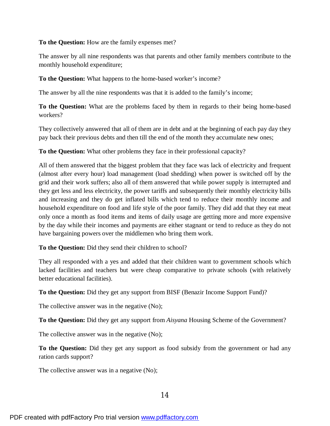**To the Question:** How are the family expenses met?

The answer by all nine respondents was that parents and other family members contribute to the monthly household expenditure;

**To the Question:** What happens to the home-based worker's income?

The answer by all the nine respondents was that it is added to the family's income;

**To the Question:** What are the problems faced by them in regards to their being home-based workers?

They collectively answered that all of them are in debt and at the beginning of each pay day they pay back their previous debts and then till the end of the month they accumulate new ones;

**To the Question:** What other problems they face in their professional capacity?

All of them answered that the biggest problem that they face was lack of electricity and frequent (almost after every hour) load management (load shedding) when power is switched off by the grid and their work suffers; also all of them answered that while power supply is interrupted and they get less and less electricity, the power tariffs and subsequently their monthly electricity bills and increasing and they do get inflated bills which tend to reduce their monthly income and household expenditure on food and life style of the poor family. They did add that they eat meat only once a month as food items and items of daily usage are getting more and more expensive by the day while their incomes and payments are either stagnant or tend to reduce as they do not have bargaining powers over the middlemen who bring them work.

**To the Question:** Did they send their children to school?

They all responded with a yes and added that their children want to government schools which lacked facilities and teachers but were cheap comparative to private schools (with relatively better educational facilities).

**To the Question:** Did they get any support from BISF (Benazir Income Support Fund)?

The collective answer was in the negative (No);

**To the Question:** Did they get any support from *Aisyana* Housing Scheme of the Government?

The collective answer was in the negative (No);

**To the Question:** Did they get any support as food subsidy from the government or had any ration cards support?

The collective answer was in a negative (No);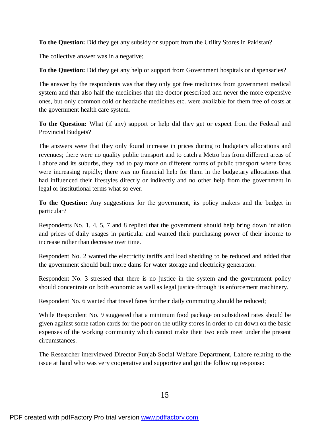**To the Question:** Did they get any subsidy or support from the Utility Stores in Pakistan?

The collective answer was in a negative;

**To the Question:** Did they get any help or support from Government hospitals or dispensaries?

The answer by the respondents was that they only got free medicines from government medical system and that also half the medicines that the doctor prescribed and never the more expensive ones, but only common cold or headache medicines etc. were available for them free of costs at the government health care system.

**To the Question:** What (if any) support or help did they get or expect from the Federal and Provincial Budgets?

The answers were that they only found increase in prices during to budgetary allocations and revenues; there were no quality public transport and to catch a Metro bus from different areas of Lahore and its suburbs, they had to pay more on different forms of public transport where fares were increasing rapidly; there was no financial help for them in the budgetary allocations that had influenced their lifestyles directly or indirectly and no other help from the government in legal or institutional terms what so ever.

**To the Question:** Any suggestions for the government, its policy makers and the budget in particular?

Respondents No. 1, 4, 5, 7 and 8 replied that the government should help bring down inflation and prices of daily usages in particular and wanted their purchasing power of their income to increase rather than decrease over time.

Respondent No. 2 wanted the electricity tariffs and load shedding to be reduced and added that the government should built more dams for water storage and electricity generation.

Respondent No. 3 stressed that there is no justice in the system and the government policy should concentrate on both economic as well as legal justice through its enforcement machinery.

Respondent No. 6 wanted that travel fares for their daily commuting should be reduced;

While Respondent No. 9 suggested that a minimum food package on subsidized rates should be given against some ration cards for the poor on the utility stores in order to cut down on the basic expenses of the working community which cannot make their two ends meet under the present circumstances.

The Researcher interviewed Director Punjab Social Welfare Department, Lahore relating to the issue at hand who was very cooperative and supportive and got the following response: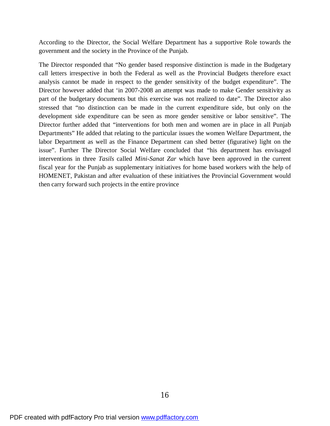According to the Director, the Social Welfare Department has a supportive Role towards the government and the society in the Province of the Punjab.

The Director responded that "No gender based responsive distinction is made in the Budgetary call letters irrespective in both the Federal as well as the Provincial Budgets therefore exact analysis cannot be made in respect to the gender sensitivity of the budget expenditure". The Director however added that 'in 2007-2008 an attempt was made to make Gender sensitivity as part of the budgetary documents but this exercise was not realized to date". The Director also stressed that "no distinction can be made in the current expenditure side, but only on the development side expenditure can be seen as more gender sensitive or labor sensitive". The Director further added that "interventions for both men and women are in place in all Punjab Departments" He added that relating to the particular issues the women Welfare Department, the labor Department as well as the Finance Department can shed better (figurative) light on the issue". Further The Director Social Welfare concluded that "his department has envisaged interventions in three *Tasils* called *Mini-Sanat Zar* which have been approved in the current fiscal year for the Punjab as supplementary initiatives for home based workers with the help of HOMENET, Pakistan and after evaluation of these initiatives the Provincial Government would then carry forward such projects in the entire province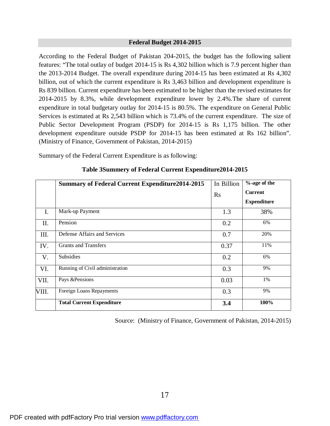#### **Federal Budget 2014-2015**

According to the Federal Budget of Pakistan 204-2015, the budget has the following salient features: "The total outlay of budget 2014-15 is Rs 4,302 billion which is 7.9 percent higher than the 2013-2014 Budget. The overall expenditure during 2014-15 has been estimated at Rs 4,302 billion, out of which the current expenditure is Rs 3,463 billion and development expenditure is Rs 839 billion. Current expenditure has been estimated to be higher than the revised estimates for 2014-2015 by 8.3%, while development expenditure lower by 2.4%.The share of current expenditure in total budgetary outlay for 2014-15 is 80.5%. The expenditure on General Public Services is estimated at Rs 2,543 billion which is 73.4% of the current expenditure. The size of Public Sector Development Program (PSDP) for 2014-15 is Rs 1,175 billion. The other development expenditure outside PSDP for 2014-15 has been estimated at Rs 162 billion". (Ministry of Finance, Government of Pakistan, 2014-2015)

Summary of the Federal Current Expenditure is as following:

|             | <b>Summary of Federal Current Expenditure 2014-2015</b> | In Billion<br>Rs | %-age of the<br><b>Current</b><br><b>Expenditure</b> |
|-------------|---------------------------------------------------------|------------------|------------------------------------------------------|
| $I_{\cdot}$ | Mark-up Payment                                         | 1.3              | 38%                                                  |
| Π.          | Pension                                                 | 0.2              | 6%                                                   |
| III.        | Defense Affairs and Services                            | 0.7              | 20%                                                  |
| IV.         | <b>Grants and Transfers</b>                             | 0.37             | 11%                                                  |
| V.          | Subsidies                                               | 0.2              | 6%                                                   |
| VI.         | Running of Civil administration                         | 0.3              | 9%                                                   |
| VII.        | Pays & Pensions                                         | 0.03             | 1%                                                   |
| VIII.       | Foreign Loans Repayments                                | 0.3              | 9%                                                   |
|             | <b>Total Current Expenditure</b>                        | 3.4              | 100%                                                 |

#### **Table 3Summery of Federal Current Expenditure2014-2015**

Source: (Ministry of Finance, Government of Pakistan, 2014-2015)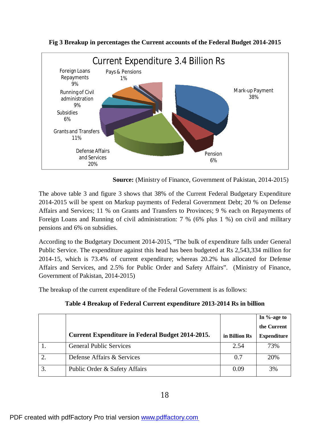

**Fig 3 Breakup in percentages the Current accounts of the Federal Budget 2014-2015** 

The above table 3 and figure 3 shows that 38% of the Current Federal Budgetary Expenditure 2014-2015 will be spent on Markup payments of Federal Government Debt; 20 % on Defense Affairs and Services; 11 % on Grants and Transfers to Provinces; 9 % each on Repayments of Foreign Loans and Running of civil administration: 7 % (6% plus 1 %) on civil and military pensions and 6% on subsidies.

According to the Budgetary Document 2014-2015, "The bulk of expenditure falls under General Public Service. The expenditure against this head has been budgeted at Rs 2,543,334 million for 2014-15, which is 73.4% of current expenditure; whereas 20.2% has allocated for Defense Affairs and Services, and 2.5% for Public Order and Safety Affairs". (Ministry of Finance, Government of Pakistan, 2014-2015)

The breakup of the current expenditure of the Federal Government is as follows:

|  | Table 4 Breakup of Federal Current expenditure 2013-2014 Rs in billion |
|--|------------------------------------------------------------------------|
|--|------------------------------------------------------------------------|

|    |                                                         |               | In $%$ -age to<br>the Current |
|----|---------------------------------------------------------|---------------|-------------------------------|
|    | <b>Current Expenditure in Federal Budget 2014-2015.</b> | in Billion Rs | <b>Expenditure</b>            |
|    | <b>General Public Services</b>                          | 2.54          | 73%                           |
|    | Defense Affairs & Services                              | 0.7           | 20%                           |
| 3. | Public Order & Safety Affairs                           | 0.09          | 3%                            |

**Source:** (Ministry of Finance, Government of Pakistan, 2014-2015)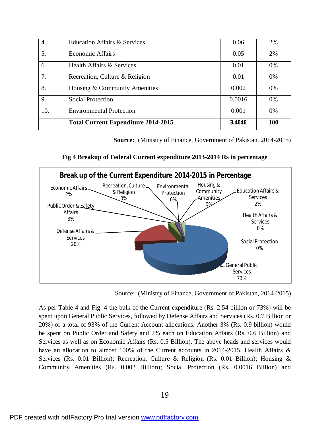| 4.  | <b>Education Affairs &amp; Services</b>    | 0.06   | 2%  |
|-----|--------------------------------------------|--------|-----|
| 5.  | <b>Economic Affairs</b>                    | 0.05   | 2%  |
| 6.  | Health Affairs & Services                  | 0.01   | 0%  |
| 7.  | Recreation, Culture & Religion             | 0.01   | 0%  |
| 8.  | Housing & Community Amenities              | 0.002  | 0%  |
| 9.  | <b>Social Protection</b>                   | 0.0016 | 0%  |
| 10. | <b>Environmental Protection</b>            | 0.001  | 0%  |
|     | <b>Total Current Expenditure 2014-2015</b> | 3.4646 | 100 |

**Source:** (Ministry of Finance, Government of Pakistan, 2014-2015)

#### **Fig 4 Breakup of Federal Current expenditure 2013-2014 Rs in percentage**



Source: (Ministry of Finance, Government of Pakistan, 2014-2015)

As per Table 4 and Fig. 4 the bulk of the Current expenditure (Rs. 2.54 billion or 73%) will be spent upon General Public Services, followed by Defense Affairs and Services (Rs. 0.7 Billion or 20%) or a total of 93% of the Current Account allocations. Another 3% (Rs. 0.9 billion) would be spent on Public Order and Safety and 2% each on Education Affairs (Rs. 0.6 Billion) and Services as well as on Economic Affairs (Rs. 0.5 Billion). The above heads and services would have an allocation to almost 100% of the Current accounts in 2014-2015. Health Affairs & Services (Rs. 0.01 Billion); Recreation, Culture & Religion (Rs. 0.01 Billion); Housing & Community Amenities (Rs. 0.002 Billion); Social Protection (Rs. 0.0016 Billion) and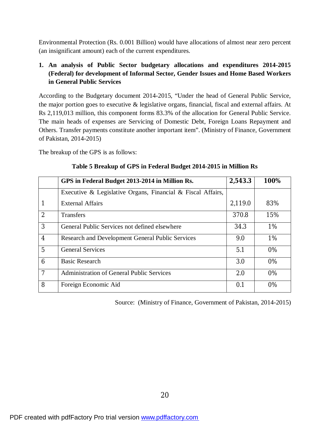Environmental Protection (Rs. 0.001 Billion) would have allocations of almost near zero percent (an insignificant amount) each of the current expenditures.

# **1. An analysis of Public Sector budgetary allocations and expenditures 2014-2015 (Federal) for development of Informal Sector, Gender Issues and Home Based Workers in General Public Services**

According to the Budgetary document 2014-2015, "Under the head of General Public Service, the major portion goes to executive & legislative organs, financial, fiscal and external affairs. At Rs 2,119,013 million, this component forms 83.3% of the allocation for General Public Service. The main heads of expenses are Servicing of Domestic Debt, Foreign Loans Repayment and Others. Transfer payments constitute another important item". (Ministry of Finance, Government of Pakistan, 2014-2015)

The breakup of the GPS is as follows:

|                         | GPS in Federal Budget 2013-2014 in Million Rs.              | 2,543.3 | 100%  |
|-------------------------|-------------------------------------------------------------|---------|-------|
|                         | Executive & Legislative Organs, Financial & Fiscal Affairs, |         |       |
| 1                       | <b>External Affairs</b>                                     | 2,119.0 | 83%   |
| $\boldsymbol{2}$        | <b>Transfers</b>                                            | 370.8   | 15%   |
| 3                       | General Public Services not defined elsewhere               | 34.3    | 1%    |
| $\overline{\mathbf{4}}$ | Research and Development General Public Services            | 9.0     | 1%    |
| $\overline{5}$          | <b>General Services</b>                                     | 5.1     | $0\%$ |
| 6                       | <b>Basic Research</b>                                       | 3.0     | $0\%$ |
| $\overline{7}$          | <b>Administration of General Public Services</b>            | 2.0     | $0\%$ |
| 8                       | Foreign Economic Aid                                        | 0.1     | $0\%$ |

**Table 5 Breakup of GPS in Federal Budget 2014-2015 in Million Rs**

Source: (Ministry of Finance, Government of Pakistan, 2014-2015)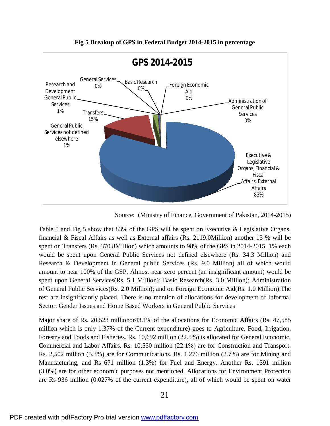

**Fig 5 Breakup of GPS in Federal Budget 2014-2015 in percentage**

Source: (Ministry of Finance, Government of Pakistan, 2014-2015)

Table 5 and Fig 5 show that 83% of the GPS will be spent on Executive & Legislative Organs, financial & Fiscal Affairs as well as External affairs (Rs. 2119.0Million) another 15 % will be spent on Transfers (Rs. 370.8Million) which amounts to 98% of the GPS in 2014-2015. 1% each would be spent upon General Public Services not defined elsewhere (Rs. 34.3 Million) and Research & Development in General public Services (Rs. 9.0 Million) all of which would amount to near 100% of the GSP. Almost near zero percent (an insignificant amount) would be spent upon General Services(Rs. 5.1 Million); Basic Research(Rs. 3.0 Million); Administration of General Public Services(Rs. 2.0 Million); and on Foreign Economic Aid(Rs. 1.0 Million).The rest are insignificantly placed. There is no mention of allocations for development of Informal Sector, Gender Issues and Home Based Workers in General Public Services

Major share of Rs. 20,523 millionor43.1% of the allocations for Economic Affairs (Rs. 47,585 million which is only 1.37% of the Current expenditure**)** goes to Agriculture, Food, Irrigation, Forestry and Foods and Fisheries. Rs. 10,692 million (22.5%) is allocated for General Economic, Commercial and Labor Affairs. Rs. 10,530 million (22.1%) are for Construction and Transport. Rs. 2,502 million (5.3%) are for Communications. Rs. 1,276 million (2.7%) are for Mining and Manufacturing, and Rs 671 million (1.3%) for Fuel and Energy. Another Rs. 1391 million (3.0%) are for other economic purposes not mentioned. Allocations for Environment Protection are Rs 936 million (0.027% of the current expenditure), all of which would be spent on water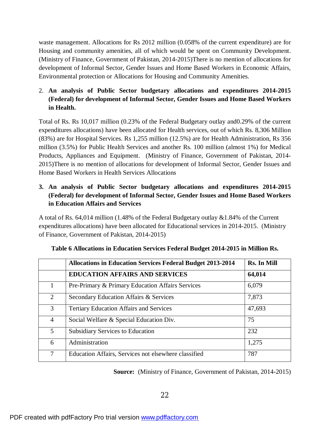waste management. Allocations for Rs 2012 million (0.058% of the current expenditure) are for Housing and community amenities, all of which would be spent on Community Development. (Ministry of Finance, Government of Pakistan, 2014-2015)There is no mention of allocations for development of Informal Sector, Gender Issues and Home Based Workers in Economic Affairs, Environmental protection or Allocations for Housing and Community Amenities.

# 2. **An analysis of Public Sector budgetary allocations and expenditures 2014-2015 (Federal) for development of Informal Sector, Gender Issues and Home Based Workers in Health.**

Total of Rs. Rs 10,017 million (0.23% of the Federal Budgetary outlay and0.29% of the current expenditures allocations) have been allocated for Health services, out of which Rs. 8,306 Million (83%) are for Hospital Services. Rs 1,255 million (12.5%) are for Health Administration, Rs 356 million (3.5%) for Public Health Services and another Rs. 100 million (almost 1%) for Medical Products, Appliances and Equipment. (Ministry of Finance, Government of Pakistan, 2014- 2015)There is no mention of allocations for development of Informal Sector, Gender Issues and Home Based Workers in Health Services Allocations

# **3. An analysis of Public Sector budgetary allocations and expenditures 2014-2015 (Federal) for development of Informal Sector, Gender Issues and Home Based Workers in Education Affairs and Services**

A total of Rs. 64,014 million (1.48% of the Federal Budgetary outlay &1.84% of the Current expenditures allocations) have been allocated for Educational services in 2014-2015. (Ministry of Finance, Government of Pakistan, 2014-2015)

|                | <b>Allocations in Education Services Federal Budget 2013-2014</b> | Rs. In Mill |
|----------------|-------------------------------------------------------------------|-------------|
|                | <b>EDUCATION AFFAIRS AND SERVICES</b>                             | 64,014      |
|                | Pre-Primary & Primary Education Affairs Services                  | 6,079       |
| $\overline{2}$ | Secondary Education Affairs & Services                            | 7,873       |
| 3              | <b>Tertiary Education Affairs and Services</b>                    | 47,693      |
| 4              | Social Welfare & Special Education Div.                           | 75          |
| $\mathfrak{S}$ | <b>Subsidiary Services to Education</b>                           | 232         |
| 6              | Administration                                                    | 1,275       |
| $\tau$         | Education Affairs, Services not elsewhere classified              | 787         |

## **Table 6 Allocations in Education Services Federal Budget 2014-2015 in Million Rs.**

**Source:** (Ministry of Finance, Government of Pakistan, 2014-2015)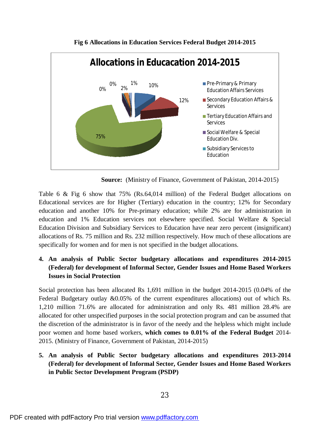

**Fig 6 Allocations in Education Services Federal Budget 2014-2015** 

**Source:** (Ministry of Finance, Government of Pakistan, 2014-2015)

Table 6 & Fig 6 show that 75% (Rs.64,014 million) of the Federal Budget allocations on Educational services are for Higher (Tertiary) education in the country; 12% for Secondary education and another 10% for Pre-primary education; while 2% are for administration in education and 1% Education services not elsewhere specified. Social Welfare & Special Education Division and Subsidiary Services to Education have near zero percent (insignificant) allocations of Rs. 75 million and Rs. 232 million respectively. How much of these allocations are specifically for women and for men is not specified in the budget allocations.

**4. An analysis of Public Sector budgetary allocations and expenditures 2014-2015 (Federal) for development of Informal Sector, Gender Issues and Home Based Workers Issues in Social Protection** 

Social protection has been allocated Rs 1,691 million in the budget 2014-2015 (0.04% of the Federal Budgetary outlay &0.05% of the current expenditures allocations) out of which Rs. 1,210 million 71.6% are allocated for administration and only Rs. 481 million 28.4% are allocated for other unspecified purposes in the social protection program and can be assumed that the discretion of the administrator is in favor of the needy and the helpless which might include poor women and home based workers, **which comes to 0.01% of the Federal Budget** 2014- 2015. (Ministry of Finance, Government of Pakistan, 2014-2015)

**5. An analysis of Public Sector budgetary allocations and expenditures 2013-2014 (Federal) for development of Informal Sector, Gender Issues and Home Based Workers in Public Sector Development Program (PSDP)**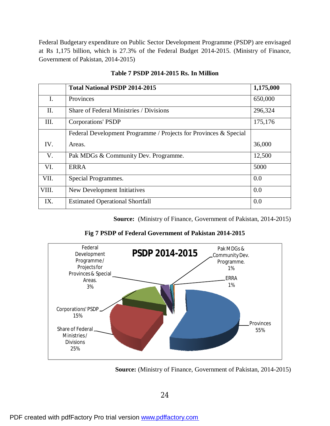Federal Budgetary expenditure on Public Sector Development Programme (PSDP) are envisaged at Rs 1,175 billion, which is 27.3% of the Federal Budget 2014-2015. (Ministry of Finance, Government of Pakistan, 2014-2015)

|       | <b>Total National PSDP 2014-2015</b>                             | 1,175,000 |
|-------|------------------------------------------------------------------|-----------|
| Ι.    | Provinces                                                        | 650,000   |
| II.   | Share of Federal Ministries / Divisions                          | 296,324   |
| III.  | <b>Corporations' PSDP</b>                                        | 175,176   |
|       | Federal Development Programme / Projects for Provinces & Special |           |
| IV.   | Areas.                                                           | 36,000    |
| V.    | Pak MDGs & Community Dev. Programme.                             | 12,500    |
| VI.   | <b>ERRA</b>                                                      | 5000      |
| VII.  | Special Programmes.                                              | 0.0       |
| VIII. | New Development Initiatives                                      | 0.0       |
| IX.   | <b>Estimated Operational Shortfall</b>                           | 0.0       |

#### **Table 7 PSDP 2014-2015 Rs. In Million**

**Source:** (Ministry of Finance, Government of Pakistan, 2014-2015)

## **Fig 7 PSDP of Federal Government of Pakistan 2014-2015**



**Source:** (Ministry of Finance, Government of Pakistan, 2014-2015)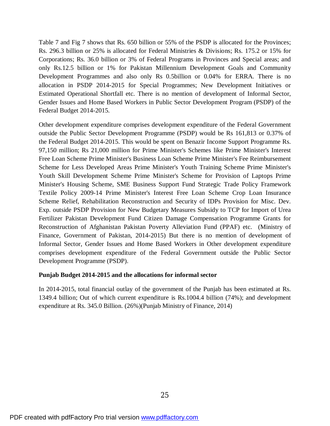Table 7 and Fig 7 shows that Rs. 650 billion or 55% of the PSDP is allocated for the Provinces; Rs. 296.3 billion or 25% is allocated for Federal Ministries & Divisions; Rs. 175.2 or 15% for Corporations; Rs. 36.0 billion or 3% of Federal Programs in Provinces and Special areas; and only Rs.12.5 billion or 1% for Pakistan Millennium Development Goals and Community Development Programmes and also only Rs 0.5billion or 0.04% for ERRA. There is no allocation in PSDP 2014-2015 for Special Programmes; New Development Initiatives or Estimated Operational Shortfall etc. There is no mention of development of Informal Sector, Gender Issues and Home Based Workers in Public Sector Development Program (PSDP) of the Federal Budget 2014-2015.

Other development expenditure comprises development expenditure of the Federal Government outside the Public Sector Development Programme (PSDP) would be Rs 161,813 or 0.37% of the Federal Budget 2014-2015. This would be spent on Benazir Income Support Programme Rs. 97,150 million; Rs 21,000 million for Prime Minister's Schemes like Prime Minister's Interest Free Loan Scheme Prime Minister's Business Loan Scheme Prime Minister's Fee Reimbursement Scheme for Less Developed Areas Prime Minister's Youth Training Scheme Prime Minister's Youth Skill Development Scheme Prime Minister's Scheme for Provision of Laptops Prime Minister's Housing Scheme, SME Business Support Fund Strategic Trade Policy Framework Textile Policy 2009-14 Prime Minister's Interest Free Loan Scheme Crop Loan Insurance Scheme Relief, Rehabilitation Reconstruction and Security of IDPs Provision for Misc. Dev. Exp. outside PSDP Provision for New Budgetary Measures Subsidy to TCP for Import of Urea Fertilizer Pakistan Development Fund Citizen Damage Compensation Programme Grants for Reconstruction of Afghanistan Pakistan Poverty Alleviation Fund (PPAF) etc. (Ministry of Finance, Government of Pakistan, 2014-2015) But there is no mention of development of Informal Sector, Gender Issues and Home Based Workers in Other development expenditure comprises development expenditure of the Federal Government outside the Public Sector Development Programme (PSDP).

#### **Punjab Budget 2014-2015 and the allocations for informal sector**

In 2014-2015, total financial outlay of the government of the Punjab has been estimated at Rs. 1349.4 billion; Out of which current expenditure is Rs.1004.4 billion (74%); and development expenditure at Rs. 345.0 Billion. (26%)(Punjab Ministry of Finance, 2014)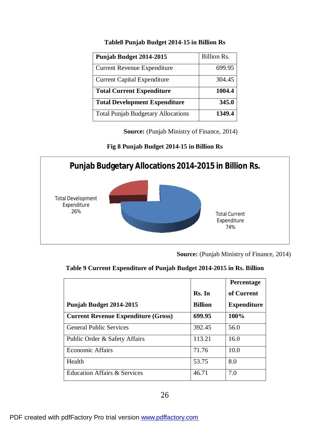## **Table8 Punjab Budget 2014-15 in Billion Rs**

| Punjab Budget 2014-2015                   | Billion Rs. |
|-------------------------------------------|-------------|
| <b>Current Revenue Expenditure</b>        | 699.95      |
| <b>Current Capital Expenditure</b>        | 304.45      |
| <b>Total Current Expenditure</b>          | 1004.4      |
| <b>Total Development Expenditure</b>      | 345.0       |
| <b>Total Punjab Budgetary Allocations</b> | 1349.4      |

 **Source:** (Punjab Ministry of Finance, 2014)

## **Fig 8 Punjab Budget 2014-15 in Billion Rs**



**Source:** (Punjab Ministry of Finance, 2014)

## **Table 9 Current Expenditure of Punjab Budget 2014-2015 in Rs. Billion**

|                                            | Rs. In         | Percentage<br>of Current |
|--------------------------------------------|----------------|--------------------------|
| Punjab Budget 2014-2015                    | <b>Billion</b> | <b>Expenditure</b>       |
| <b>Current Revenue Expenditure (Gross)</b> | 699.95         | 100%                     |
| <b>General Public Services</b>             | 392.45         | 56.0                     |
| Public Order & Safety Affairs              | 113.21         | 16.0                     |
| <b>Economic Affairs</b>                    | 71.76          | 10.0                     |
| Health                                     | 53.75          | 8.0                      |
| <b>Education Affairs &amp; Services</b>    | 46.71          | 7.0                      |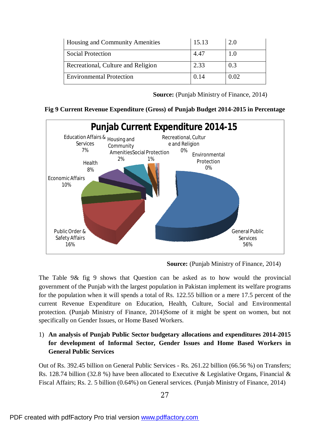| Housing and Community Amenities    | 15.13 | 2.0  |
|------------------------------------|-------|------|
| <b>Social Protection</b>           | 4.47  | 1.0  |
| Recreational, Culture and Religion | 2.33  | 0.3  |
| <b>Environmental Protection</b>    | 0.14  | 0.02 |

 **Source:** (Punjab Ministry of Finance, 2014)





**Source:** (Punjab Ministry of Finance, 2014)

The Table 9& fig 9 shows that Question can be asked as to how would the provincial government of the Punjab with the largest population in Pakistan implement its welfare programs for the population when it will spends a total of Rs. 122.55 billion or a mere 17.5 percent of the current Revenue Expenditure on Education, Health, Culture, Social and Environmental protection. (Punjab Ministry of Finance, 2014)Some of it might be spent on women, but not specifically on Gender Issues, or Home Based Workers.

1) **An analysis of Punjab Public Sector budgetary allocations and expenditures 2014-2015 for development of Informal Sector, Gender Issues and Home Based Workers in General Public Services** 

Out of Rs. 392.45 billion on General Public Services - Rs. 261.22 billion (66.56 %) on Transfers; Rs. 128.74 billion (32.8 %) have been allocated to Executive & Legislative Organs, Financial & Fiscal Affairs; Rs. 2. 5 billion (0.64%) on General services. (Punjab Ministry of Finance, 2014)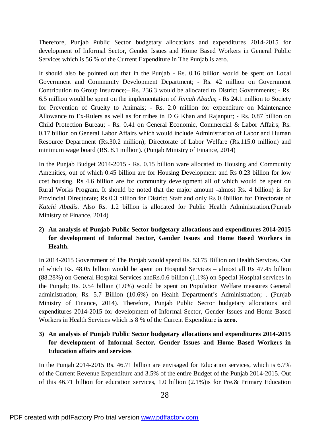Therefore, Punjab Public Sector budgetary allocations and expenditures 2014-2015 for development of Informal Sector, Gender Issues and Home Based Workers in General Public Services which is 56 % of the Current Expenditure in The Punjab is zero.

It should also be pointed out that in the Punjab - Rs. 0.16 billion would be spent on Local Government and Community Development Department; - Rs. 42 million on Government Contribution to Group Insurance;– Rs. 236.3 would be allocated to District Governments; - Rs. 6.5 million would be spent on the implementation of *Jinnah Abadis*; - Rs 24.1 million to Society for Prevention of Cruelty to Animals; - Rs. 2.0 million for expenditure on Maintenance Allowance to Ex-Rulers as well as for tribes in D G Khan and Rajanpur; - Rs. 0.87 billion on Child Protection Bureau; - Rs. 0.41 on General Economic, Commercial & Labor Affairs; Rs. 0.17 billion on General Labor Affairs which would include Administration of Labor and Human Resource Department (Rs.30.2 million); Directorate of Labor Welfare (Rs.115.0 million) and minimum wage board (RS. 8.1 million). (Punjab Ministry of Finance, 2014)

In the Punjab Budget 2014-2015 - Rs. 0.15 billion ware allocated to Housing and Community Amenities, out of which 0.45 billion are for Housing Development and Rs 0.23 billion for low cost housing. Rs 4.6 billion are for community development all of which would be spent on Rural Works Program. It should be noted that the major amount -almost Rs. 4 billion) is for Provincial Directorate; Rs 0.3 billion for District Staff and only Rs 0.4billion for Directorate of *Katchi Abadis.* Also Rs. 1.2 billion is allocated for Public Health Administration*.*(Punjab Ministry of Finance, 2014)

**2) An analysis of Punjab Public Sector budgetary allocations and expenditures 2014-2015 for development of Informal Sector, Gender Issues and Home Based Workers in Health.** 

In 2014-2015 Government of The Punjab would spend Rs. 53.75 Billion on Health Services. Out of which Rs. 48.05 billion would be spent on Hospital Services – almost all Rs 47.45 billion (88.28%) on General Hospital Services andRs.0.6 billion (1.1%) on Special Hospital services in the Punjab; Rs. 0.54 billion (1.0%) would be spent on Population Welfare measures General administration; Rs. 5.7 Billion (10.6%) on Health Department's Administration; . (Punjab Ministry of Finance, 2014). Therefore, Punjab Public Sector budgetary allocations and expenditures 2014-2015 for development of Informal Sector, Gender Issues and Home Based Workers in Health Services which is 8 % of the Current Expenditure **is zero.**

# **3) An analysis of Punjab Public Sector budgetary allocations and expenditures 2014-2015 for development of Informal Sector, Gender Issues and Home Based Workers in Education affairs and services**

In the Punjab 2014-2015 Rs. 46.71 billion are envisaged for Education services, which is 6.7% of the Current Revenue Expenditure and 3.5% of the entire Budget of the Punjab 2014-2015. Out of this 46.71 billion for education services, 1.0 billion (2.1%)is for Pre.& Primary Education

28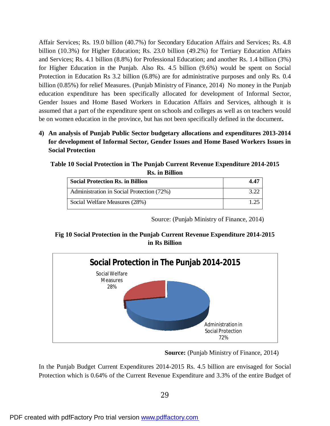Affair Services; Rs. 19.0 billion (40.7%) for Secondary Education Affairs and Services; Rs. 4.8 billion (10.3%) for Higher Education; Rs. 23.0 billion (49.2%) for Tertiary Education Affairs and Services; Rs. 4.1 billion (8.8%) for Professional Education; and another Rs. 1.4 billion (3%) for Higher Education in the Punjab. Also Rs. 4.5 billion (9.6%) would be spent on Social Protection in Education Rs 3.2 billion (6.8%) are for administrative purposes and only Rs. 0.4 billion (0.85%) for relief Measures. (Punjab Ministry of Finance, 2014) No money in the Punjab education expenditure has been specifically allocated for development of Informal Sector, Gender Issues and Home Based Workers in Education Affairs and Services, although it is assumed that a part of the expenditure spent on schools and colleges as well as on teachers would be on women education in the province, but has not been specifically defined in the document**.**

**4) An analysis of Punjab Public Sector budgetary allocations and expenditures 2013-2014 for development of Informal Sector, Gender Issues and Home Based Workers Issues in Social Protection** 

**Table 10 Social Protection in The Punjab Current Revenue Expenditure 2014-2015 Rs. in Billion**

| <b>Social Protection Rs. in Billion</b>   | 4.41          |
|-------------------------------------------|---------------|
| Administration in Social Protection (72%) | $\mathcal{R}$ |
| Social Welfare Measures (28%)             |               |

Source: (Punjab Ministry of Finance, 2014)

## **Fig 10 Social Protection in the Punjab Current Revenue Expenditure 2014-2015 in Rs Billion**



**Source:** (Punjab Ministry of Finance, 2014)

In the Punjab Budget Current Expenditures 2014-2015 Rs. 4.5 billion are envisaged for Social Protection which is 0.64% of the Current Revenue Expenditure and 3.3% of the entire Budget of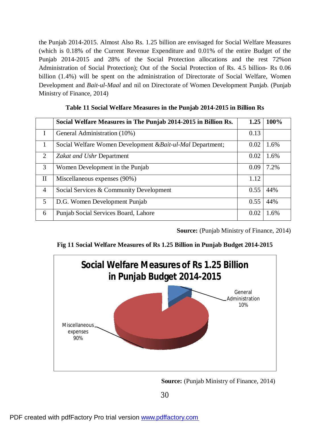the Punjab 2014-2015. Almost Also Rs. 1.25 billion are envisaged for Social Welfare Measures (which is 0.18% of the Current Revenue Expenditure and 0.01% of the entire Budget of the Punjab 2014-2015 and 28% of the Social Protection allocations and the rest 72%on Administration of Social Protection); Out of the Social Protection of Rs. 4.5 billion- Rs 0.06 billion (1.4%) will be spent on the administration of Directorate of Social Welfare, Women Development and *Bait-ul-Maal* and nil on Directorate of Women Development Punjab. (Punjab Ministry of Finance, 2014)

|                | Social Welfare Measures in The Punjab 2014-2015 in Billion Rs. | 1.25 | 100% |
|----------------|----------------------------------------------------------------|------|------|
| L              | General Administration (10%)                                   | 0.13 |      |
| $\mathbf{1}$   | Social Welfare Women Development & Bait-ul-Mal Department;     | 0.02 | 1.6% |
| 2              | <b>Zakat and Ushr Department</b>                               | 0.02 | 1.6% |
| 3              | Women Development in the Punjab                                | 0.09 | 7.2% |
| $\mathbf{I}$   | Miscellaneous expenses (90%)                                   | 1.12 |      |
| $\overline{4}$ | Social Services & Community Development                        | 0.55 | 44%  |
| 5              | D.G. Women Development Punjab                                  | 0.55 | 44%  |
| 6              | Punjab Social Services Board, Lahore                           | 0.02 | 1.6% |

#### **Table 11 Social Welfare Measures in the Punjab 2014-2015 in Billion Rs**

**Source:** (Punjab Ministry of Finance, 2014)

## **Fig 11 Social Welfare Measures of Rs 1.25 Billion in Punjab Budget 2014-2015**



 **Source:** (Punjab Ministry of Finance, 2014)

30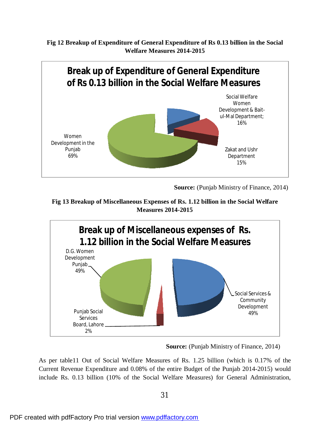# **Fig 12 Breakup of Expenditure of General Expenditure of Rs 0.13 billion in the Social Welfare Measures 2014-2015**



 **Source:** (Punjab Ministry of Finance, 2014)

# **Fig 13 Breakup of Miscellaneous Expenses of Rs. 1.12 billion in the Social Welfare Measures 2014-2015**



**Source:** (Punjab Ministry of Finance, 2014)

As per table11 Out of Social Welfare Measures of Rs. 1.25 billion (which is 0.17% of the Current Revenue Expenditure and 0.08% of the entire Budget of the Punjab 2014-2015) would include Rs. 0.13 billion (10% of the Social Welfare Measures) for General Administration,

# 31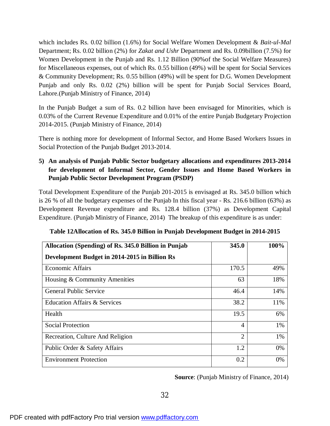which includes Rs. 0.02 billion (1.6%) for Social Welfare Women Development & *Bait-ul-Mal* Department; Rs. 0.02 billion (2%) for *Zakat and Ushr* Department and Rs. 0.09billion (7.5%) for Women Development in the Punjab and Rs. 1.12 Billion (90%of the Social Welfare Measures) for Miscellaneous expenses, out of which Rs. 0.55 billion (49%) will be spent for Social Services & Community Development; Rs. 0.55 billion (49%) will be spent for D.G. Women Development Punjab and only Rs. 0.02 (2%) billion will be spent for Punjab Social Services Board, Lahore.(Punjab Ministry of Finance, 2014)

In the Punjab Budget a sum of Rs. 0.2 billion have been envisaged for Minorities, which is 0.03% of the Current Revenue Expenditure and 0.01% of the entire Punjab Budgetary Projection 2014-2015. (Punjab Ministry of Finance, 2014)

There is nothing more for development of Informal Sector, and Home Based Workers Issues in Social Protection of the Punjab Budget 2013-2014.

**5) An analysis of Punjab Public Sector budgetary allocations and expenditures 2013-2014 for development of Informal Sector, Gender Issues and Home Based Workers in Punjab Public Sector Development Program (PSDP)** 

Total Development Expenditure of the Punjab 201-2015 is envisaged at Rs. 345.0 billion which is 26 % of all the budgetary expenses of the Punjab In this fiscal year - Rs. 216.6 billion (63%) as Development Revenue expenditure and Rs. 128.4 billion (37%) as Development Capital Expenditure. (Punjab Ministry of Finance, 2014) The breakup of this expenditure is as under:

| Allocation (Spending) of Rs. 345.0 Billion in Punjab | 345.0          | 100%  |
|------------------------------------------------------|----------------|-------|
| Development Budget in 2014-2015 in Billion Rs        |                |       |
| <b>Economic Affairs</b>                              | 170.5          | 49%   |
| Housing & Community Amenities                        | 63             | 18%   |
| <b>General Public Service</b>                        | 46.4           | 14%   |
| <b>Education Affairs &amp; Services</b>              | 38.2           | 11%   |
| Health                                               | 19.5           | 6%    |
| <b>Social Protection</b>                             | $\overline{A}$ | 1%    |
| Recreation, Culture And Religion                     | $\overline{2}$ | 1%    |
| Public Order & Safety Affairs                        | 1.2            | $0\%$ |
| <b>Environment Protection</b>                        | 0.2            | 0%    |

**Table 12Allocation of Rs. 345.0 Billion in Punjab Development Budget in 2014-2015**

**Source**: (Punjab Ministry of Finance, 2014)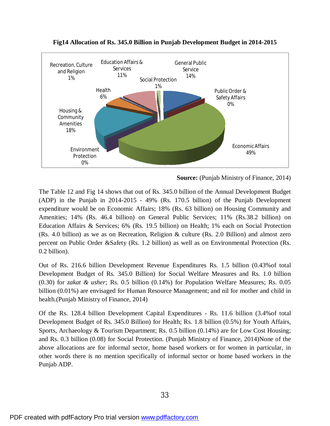

**Fig14 Allocation of Rs. 345.0 Billion in Punjab Development Budget in 2014-2015**

The Table 12 and Fig 14 shows that out of Rs. 345.0 billion of the Annual Development Budget (ADP) in the Punjab in 2014-2015 - 49% (Rs. 170.5 billion) of the Punjab Development expenditure would be on Economic Affairs; 18% (Rs. 63 billion) on Housing Community and Amenities; 14% (Rs. 46.4 billion) on General Public Services; 11% (Rs.38.2 billion) on Education Affairs & Services; 6% (Rs. 19.5 billion) on Health; 1% each on Social Protection (Rs. 4.0 billion) as we as on Recreation, Religion & culture (Rs. 2.0 Billion) and almost zero percent on Public Order &Safety (Rs. 1.2 billion) as well as on Environmental Protection (Rs. 0.2 billion).

Out of Rs. 216.6 billion Development Revenue Expenditures Rs. 1.5 billion (0.43%of total Development Budget of Rs. 345.0 Billion) for Social Welfare Measures and Rs. 1.0 billion (0.30) for *zakat & usher;* Rs. 0.5 billion (0.14%) for Population Welfare Measures; Rs. 0.05 billion (0.01%) are envisaged for Human Resource Management; and nil for mother and child in health.(Punjab Ministry of Finance, 2014)

Of the Rs. 128.4 billion Development Capital Expenditures - Rs. 11.6 billion (3.4%of total Development Budget of Rs. 345.0 Billion) for Health; Rs. 1.8 billion (0.5%) for Youth Affairs, Sports, Archaeology & Tourism Department; Rs. 0.5 billion (0.14%) are for Low Cost Housing; and Rs. 0.3 billion (0.08) for Social Protection. (Punjab Ministry of Finance, 2014)None of the above allocations are for informal sector, home based workers or for women in particular, in other words there is no mention specifically of informal sector or home based workers in the Punjab ADP.

**Source:** (Punjab Ministry of Finance, 2014)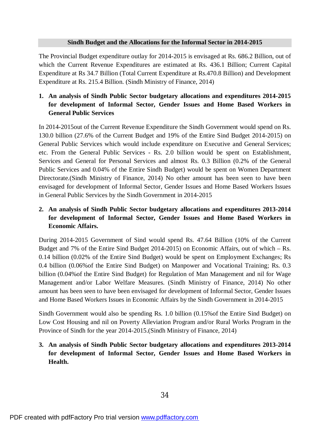#### **Sindh Budget and the Allocations for the Informal Sector in 2014-2015**

The Provincial Budget expenditure outlay for 2014-2015 is envisaged at Rs. 686.2 Billion, out of which the Current Revenue Expenditures are estimated at Rs. 436.1 Billion; Current Capital Expenditure at Rs 34.7 Billion (Total Current Expenditure at Rs.470.8 Billion) and Development Expenditure at Rs. 215.4 Billion. (Sindh Ministry of Finance, 2014)

## **1. An analysis of Sindh Public Sector budgetary allocations and expenditures 2014-2015 for development of Informal Sector, Gender Issues and Home Based Workers in General Public Services**

In 2014-2015out of the Current Revenue Expenditure the Sindh Government would spend on Rs. 130.0 billion (27.6% of the Current Budget and 19% of the Entire Sind Budget 2014-2015) on General Public Services which would include expenditure on Executive and General Services; etc. From the General Public Services - Rs. 2.0 billion would be spent on Establishment, Services and General for Personal Services and almost Rs. 0.3 Billion (0.2% of the General Public Services and 0.04% of the Entire Sindh Budget) would be spent on Women Department Directorate.(Sindh Ministry of Finance, 2014) No other amount has been seen to have been envisaged for development of Informal Sector, Gender Issues and Home Based Workers Issues in General Public Services by the Sindh Government in 2014-2015

# **2. An analysis of Sindh Public Sector budgetary allocations and expenditures 2013-2014 for development of Informal Sector, Gender Issues and Home Based Workers in Economic Affairs.**

During 2014-2015 Government of Sind would spend Rs. 47.64 Billion (10% of the Current Budget and 7% of the Entire Sind Budget 2014-2015) on Economic Affairs, out of which – Rs. 0.14 billion (0.02% of the Entire Sind Budget) would be spent on Employment Exchanges; Rs 0.4 billion (0.06%of the Entire Sind Budget) on Manpower and Vocational Training; Rs. 0.3 billion (0.04%of the Entire Sind Budget) for Regulation of Man Management and nil for Wage Management and/or Labor Welfare Measures. (Sindh Ministry of Finance, 2014) No other amount has been seen to have been envisaged for development of Informal Sector, Gender Issues and Home Based Workers Issues in Economic Affairs by the Sindh Government in 2014-2015

Sindh Government would also be spending Rs. 1.0 billion (0.15%of the Entire Sind Budget) on Low Cost Housing and nil on Poverty Alleviation Program and/or Rural Works Program in the Province of Sindh for the year 2014-2015.(Sindh Ministry of Finance, 2014)

**3. An analysis of Sindh Public Sector budgetary allocations and expenditures 2013-2014 for development of Informal Sector, Gender Issues and Home Based Workers in Health.**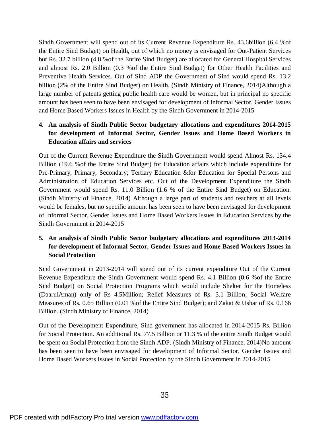Sindh Government will spend out of its Current Revenue Expenditure Rs. 43.6billion (6.4 %of the Entire Sind Budget) on Health, out of which no money is envisaged for Out-Patient Services but Rs. 32.7 billion (4.8 %of the Entire Sind Budget) are allocated for General Hospital Services and almost Rs. 2.0 Billion (0.3 %of the Entire Sind Budget) for Other Health Facilities and Preventive Health Services. Out of Sind ADP the Government of Sind would spend Rs. 13.2 billion (2% of the Entire Sind Budget) on Health. (Sindh Ministry of Finance, 2014)Although a large number of patents getting public health care would be women, but in principal no specific amount has been seen to have been envisaged for development of Informal Sector, Gender Issues and Home Based Workers Issues in Health by the Sindh Government in 2014-2015

# **4. An analysis of Sindh Public Sector budgetary allocations and expenditures 2014-2015 for development of Informal Sector, Gender Issues and Home Based Workers in Education affairs and services**

Out of the Current Revenue Expenditure the Sindh Government would spend Almost Rs. 134.4 Billion (19.6 %of the Entire Sind Budget) for Education affairs which include expenditure for Pre-Primary, Primary, Secondary; Tertiary Education &for Education for Special Persons and Administration of Education Services etc. Out of the Development Expenditure the Sindh Government would spend Rs. 11.0 Billion (1.6 % of the Entire Sind Budget) on Education. (Sindh Ministry of Finance, 2014) Although a large part of students and teachers at all levels would be females, but no specific amount has been seen to have been envisaged for development of Informal Sector, Gender Issues and Home Based Workers Issues in Education Services by the Sindh Government in 2014-2015

## **5. An analysis of Sindh Public Sector budgetary allocations and expenditures 2013-2014 for development of Informal Sector, Gender Issues and Home Based Workers Issues in Social Protection**

Sind Government in 2013-2014 will spend out of its current expenditure Out of the Current Revenue Expenditure the Sindh Government would spend Rs. 4.1 Billion (0.6 %of the Entire Sind Budget) on Social Protection Programs which would include Shelter for the Homeless (DaarulAman) only of Rs 4.5Million; Relief Measures of Rs. 3.1 Billion; Social Welfare Measures of Rs. 0.65 Billion (0.01 %of the Entire Sind Budget); and Zakat & Ushar of Rs. 0.166 Billion. (Sindh Ministry of Finance, 2014)

Out of the Development Expenditure, Sind government has allocated in 2014-2015 Rs. Billion for Social Protection. An additional Rs. 77.5 Billion or 11.3 % of the entire Sindh Budget would be spent on Social Protection from the Sindh ADP. (Sindh Ministry of Finance, 2014)No amount has been seen to have been envisaged for development of Informal Sector, Gender Issues and Home Based Workers Issues in Social Protection by the Sindh Government in 2014-2015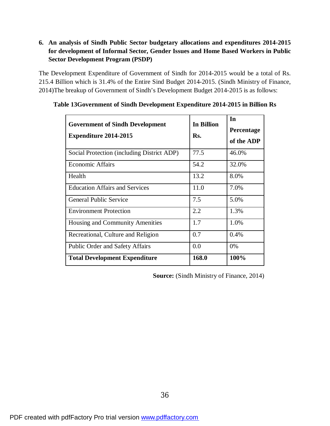# **6. An analysis of Sindh Public Sector budgetary allocations and expenditures 2014-2015 for development of Informal Sector, Gender Issues and Home Based Workers in Public Sector Development Program (PSDP)**

The Development Expenditure of Government of Sindh for 2014-2015 would be a total of Rs. 215.4 Billion which is 31.4% of the Entire Sind Budget 2014-2015. (Sindh Ministry of Finance, 2014)The breakup of Government of Sindh's Development Budget 2014-2015 is as follows:

| <b>Government of Sindh Development</b><br><b>Expenditure 2014-2015</b> | <b>In Billion</b><br>Rs. | In<br>Percentage<br>of the ADP |
|------------------------------------------------------------------------|--------------------------|--------------------------------|
| Social Protection (including District ADP)                             | 77.5                     | 46.0%                          |
| <b>Economic Affairs</b>                                                | 54.2                     | 32.0%                          |
| Health                                                                 | 13.2                     | 8.0%                           |
| <b>Education Affairs and Services</b>                                  | 11.0                     | 7.0%                           |
| <b>General Public Service</b>                                          | 7.5                      | 5.0%                           |
| <b>Environment Protection</b>                                          | 2.2                      | 1.3%                           |
| Housing and Community Amenities                                        | 1.7                      | 1.0%                           |
| Recreational, Culture and Religion                                     | 0.7                      | 0.4%                           |
| Public Order and Safety Affairs                                        | 0.0                      | 0%                             |
| <b>Total Development Expenditure</b>                                   | 168.0                    | 100%                           |

#### **Table 13Government of Sindh Development Expenditure 2014-2015 in Billion Rs**

**Source:** (Sindh Ministry of Finance, 2014)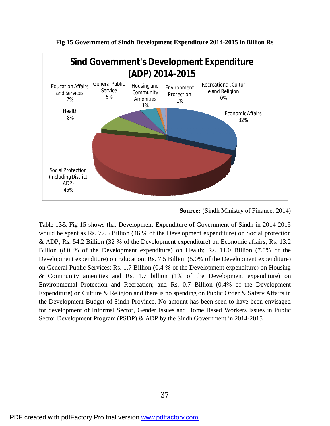

**Fig 15 Government of Sindh Development Expenditure 2014-2015 in Billion Rs** 

**Source:** (Sindh Ministry of Finance, 2014)

Table 13& Fig 15 shows that Development Expenditure of Government of Sindh in 2014-2015 would be spent as Rs. 77.5 Billion (46 % of the Development expenditure) on Social protection & ADP; Rs. 54.2 Billion (32 % of the Development expenditure) on Economic affairs; Rs. 13.2 Billion (8.0 % of the Development expenditure) on Health; Rs. 11.0 Billion (7.0% of the Development expenditure) on Education; Rs. 7.5 Billion (5.0% of the Development expenditure) on General Public Services; Rs. 1.7 Billion (0.4 % of the Development expenditure) on Housing & Community amenities and Rs. 1.7 billion (1% of the Development expenditure) on Environmental Protection and Recreation; and Rs. 0.7 Billion (0.4% of the Development Expenditure) on Culture & Religion and there is no spending on Public Order & Safety Affairs in the Development Budget of Sindh Province. No amount has been seen to have been envisaged for development of Informal Sector, Gender Issues and Home Based Workers Issues in Public Sector Development Program (PSDP) & ADP by the Sindh Government in 2014-2015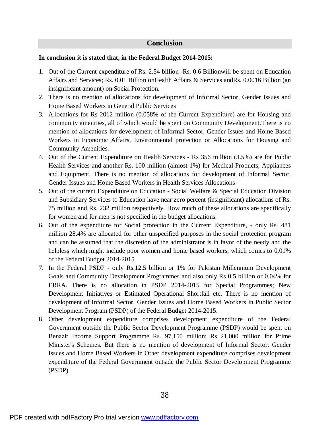## **Conclusion**

#### **In conclusion it is stated that, in the Federal Budget 2014-2015:**

- 1. Out of the Current expenditure of Rs. 2.54 billion -Rs. 0.6 Billionwill be spent on Education Affairs and Services; Rs. 0.01 Billion onHealth Affairs & Services andRs. 0.0016 Billion (an insignificant amount) on Social Protection.
- 2. There is no mention of allocations for development of Informal Sector, Gender Issues and Home Based Workers in General Public Services
- 3. Allocations for Rs 2012 million (0.058% of the Current Expenditure) are for Housing and community amenities, all of which would be spent on Community Development.There is no mention of allocations for development of Informal Sector, Gender Issues and Home Based Workers in Economic Affairs, Environmental protection or Allocations for Housing and Community Amenities.
- 4. Out of the Current Expenditure on Health Services Rs 356 million (3.5%) are for Public Health Services and another Rs. 100 million (almost 1%) for Medical Products, Appliances and Equipment. There is no mention of allocations for development of Informal Sector, Gender Issues and Home Based Workers in Health Services Allocations
- 5. Out of the current Expenditure on Education Social Welfare & Special Education Division and Subsidiary Services to Education have near zero percent (insignificant) allocations of Rs. 75 million and Rs. 232 million respectively. How much of these allocations are specifically for women and for men is not specified in the budget allocations.
- 6. Out of the expenditure for Social protection in the Current Expenditure, only Rs. 481 million 28.4% are allocated for other unspecified purposes in the social protection program and can be assumed that the discretion of the administrator is in favor of the needy and the helpless which might include poor women and home based workers, which comes to 0.01% of the Federal Budget 2014-2015
- 7. In the Federal PSDP only Rs.12.5 billion or 1% for Pakistan Millennium Development Goals and Community Development Programmes and also only Rs 0.5 billion or 0.04% for ERRA. There is no allocation in PSDP 2014-2015 for Special Programmes; New Development Initiatives or Estimated Operational Shortfall etc. There is no mention of development of Informal Sector, Gender Issues and Home Based Workers in Public Sector Development Program (PSDP) of the Federal Budget 2014-2015.
- 8. Other development expenditure comprises development expenditure of the Federal Government outside the Public Sector Development Programme (PSDP) would be spent on Benazir Income Support Programme Rs. 97,150 million; Rs 21,000 million for Prime Minister's Schemes. But there is no mention of development of Informal Sector, Gender Issues and Home Based Workers in Other development expenditure comprises development expenditure of the Federal Government outside the Public Sector Development Programme (PSDP).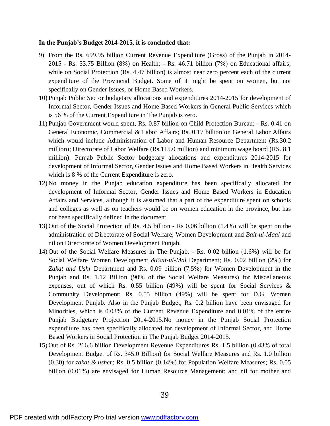#### **In the Punjab's Budget 2014-2015, it is concluded that:**

- 9) From the Rs. 699.95 billion Current Revenue Expenditure (Gross) of the Punjab in 2014- 2015 - Rs. 53.75 Billion (8%) on Health; - Rs. 46.71 billion (7%) on Educational affairs; while on Social Protection (Rs. 4.47 billion) is almost near zero percent each of the current expenditure of the Provincial Budget. Some of it might be spent on women, but not specifically on Gender Issues, or Home Based Workers.
- 10) Punjab Public Sector budgetary allocations and expenditures 2014-2015 for development of Informal Sector, Gender Issues and Home Based Workers in General Public Services which is 56 % of the Current Expenditure in The Punjab is zero.
- 11) Punjab Government would spent, Rs. 0.87 billion on Child Protection Bureau; Rs. 0.41 on General Economic, Commercial & Labor Affairs; Rs. 0.17 billion on General Labor Affairs which would include Administration of Labor and Human Resource Department (Rs.30.2) million); Directorate of Labor Welfare (Rs.115.0 million) and minimum wage board (RS. 8.1 million). Punjab Public Sector budgetary allocations and expenditures 2014-2015 for development of Informal Sector, Gender Issues and Home Based Workers in Health Services which is 8 % of the Current Expenditure is zero.
- 12) No money in the Punjab education expenditure has been specifically allocated for development of Informal Sector, Gender Issues and Home Based Workers in Education Affairs and Services, although it is assumed that a part of the expenditure spent on schools and colleges as well as on teachers would be on women education in the province, but has not been specifically defined in the document.
- 13) Out of the Social Protection of Rs. 4.5 billion Rs 0.06 billion (1.4%) will be spent on the administration of Directorate of Social Welfare, Women Development and *Bait-ul-Maal* and nil on Directorate of Women Development Punjab.
- 14) Out of the Social Welfare Measures in The Punjab, Rs. 0.02 billion (1.6%) will be for Social Welfare Women Development &*Bait-ul-Mal* Department; Rs. 0.02 billion (2%) for *Zakat and Ushr* Department and Rs. 0.09 billion (7.5%) for Women Development in the Punjab and Rs. 1.12 Billion (90% of the Social Welfare Measures) for Miscellaneous expenses, out of which Rs. 0.55 billion (49%) will be spent for Social Services  $\&$ Community Development; Rs. 0.55 billion (49%) will be spent for D.G. Women Development Punjab. Also in the Punjab Budget, Rs. 0.2 billion have been envisaged for Minorities, which is 0.03% of the Current Revenue Expenditure and 0.01% of the entire Punjab Budgetary Projection 2014-2015.No money in the Punjab Social Protection expenditure has been specifically allocated for development of Informal Sector, and Home Based Workers in Social Protection in The Punjab Budget 2014-2015.
- 15) Out of Rs. 216.6 billion Development Revenue Expenditures Rs. 1.5 billion (0.43% of total Development Budget of Rs. 345.0 Billion) for Social Welfare Measures and Rs. 1.0 billion (0.30) for *zakat & usher;* Rs. 0.5 billion (0.14%) for Population Welfare Measures; Rs. 0.05 billion (0.01%) are envisaged for Human Resource Management; and nil for mother and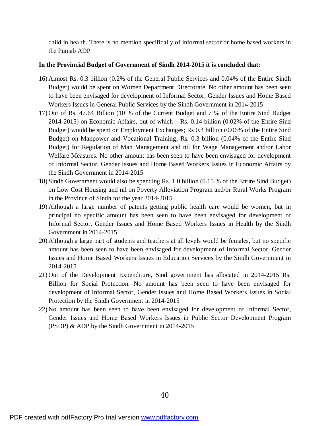child in health. There is no mention specifically of informal sector or home based workers in the Punjab ADP

#### **In the Provincial Budget of Government of Sindh 2014-2015 it is concluded that:**

- 16) Almost Rs. 0.3 billion (0.2% of the General Public Services and 0.04% of the Entire Sindh Budget) would be spent on Women Department Directorate. No other amount has been seen to have been envisaged for development of Informal Sector, Gender Issues and Home Based Workers Issues in General Public Services by the Sindh Government in 2014-2015
- 17) Out of Rs. 47.64 Billion (10 % of the Current Budget and 7 % of the Entire Sind Budget 2014-2015) on Economic Affairs, out of which – Rs. 0.14 billion (0.02% of the Entire Sind Budget) would be spent on Employment Exchanges; Rs 0.4 billion (0.06% of the Entire Sind Budget) on Manpower and Vocational Training; Rs. 0.3 billion (0.04% of the Entire Sind Budget) for Regulation of Man Management and nil for Wage Management and/or Labor Welfare Measures. No other amount has been seen to have been envisaged for development of Informal Sector, Gender Issues and Home Based Workers Issues in Economic Affairs by the Sindh Government in 2014-2015
- 18) Sindh Government would also be spending Rs. 1.0 billion (0.15 % of the Entire Sind Budget) on Low Cost Housing and nil on Poverty Alleviation Program and/or Rural Works Program in the Province of Sindh for the year 2014-2015.
- 19) Although a large number of patents getting public health care would be women, but in principal no specific amount has been seen to have been envisaged for development of Informal Sector, Gender Issues and Home Based Workers Issues in Health by the Sindh Government in 2014-2015
- 20) Although a large part of students and teachers at all levels would be females, but no specific amount has been seen to have been envisaged for development of Informal Sector, Gender Issues and Home Based Workers Issues in Education Services by the Sindh Government in 2014-2015
- 21) Out of the Development Expenditure, Sind government has allocated in 2014-2015 Rs. Billion for Social Protection. No amount has been seen to have been envisaged for development of Informal Sector, Gender Issues and Home Based Workers Issues in Social Protection by the Sindh Government in 2014-2015
- 22) No amount has been seen to have been envisaged for development of Informal Sector, Gender Issues and Home Based Workers Issues in Public Sector Development Program (PSDP) & ADP by the Sindh Government in 2014-2015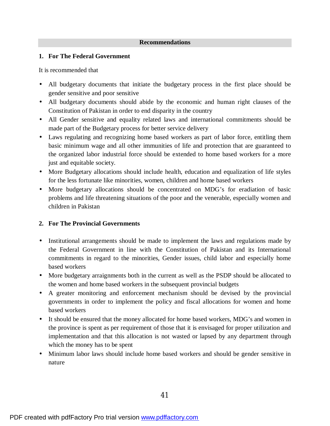#### **1. For The Federal Government**

It is recommended that

- All budgetary documents that initiate the budgetary process in the first place should be gender sensitive and poor sensitive
- All budgetary documents should abide by the economic and human right clauses of the Constitution of Pakistan in order to end disparity in the country
- All Gender sensitive and equality related laws and international commitments should be made part of the Budgetary process for better service delivery
- Laws regulating and recognizing home based workers as part of labor force, entitling them basic minimum wage and all other immunities of life and protection that are guaranteed to the organized labor industrial force should be extended to home based workers for a more just and equitable society.
- More Budgetary allocations should include health, education and equalization of life styles for the less fortunate like minorities, women, children and home based workers
- More budgetary allocations should be concentrated on MDG's for eradiation of basic problems and life threatening situations of the poor and the venerable, especially women and children in Pakistan

## **2. For The Provincial Governments**

- Institutional arrangements should be made to implement the laws and regulations made by the Federal Government in line with the Constitution of Pakistan and its International commitments in regard to the minorities, Gender issues, child labor and especially home based workers
- More budgetary arraignments both in the current as well as the PSDP should be allocated to the women and home based workers in the subsequent provincial budgets
- A greater monitoring and enforcement mechanism should be devised by the provincial governments in order to implement the policy and fiscal allocations for women and home based workers
- It should be ensured that the money allocated for home based workers, MDG's and women in the province is spent as per requirement of those that it is envisaged for proper utilization and implementation and that this allocation is not wasted or lapsed by any department through which the money has to be spent
- Minimum labor laws should include home based workers and should be gender sensitive in nature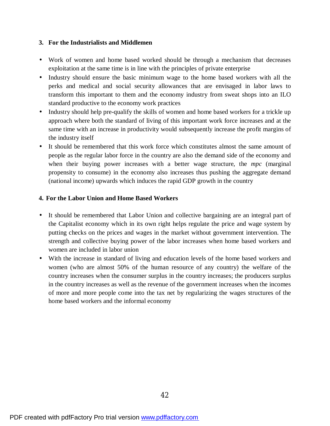#### **3. For the Industrialists and Middlemen**

- Work of women and home based worked should be through a mechanism that decreases exploitation at the same time is in line with the principles of private enterprise
- Industry should ensure the basic minimum wage to the home based workers with all the perks and medical and social security allowances that are envisaged in labor laws to transform this important to them and the economy industry from sweat shops into an ILO standard productive to the economy work practices
- Industry should help pre-qualify the skills of women and home based workers for a trickle up approach where both the standard of living of this important work force increases and at the same time with an increase in productivity would subsequently increase the profit margins of the industry itself
- It should be remembered that this work force which constitutes almost the same amount of people as the regular labor force in the country are also the demand side of the economy and when their buying power increases with a better wage structure, the *mpc* (marginal propensity to consume) in the economy also increases thus pushing the aggregate demand (national income) upwards which induces the rapid GDP growth in the country

## **4. For the Labor Union and Home Based Workers**

- It should be remembered that Labor Union and collective bargaining are an integral part of the Capitalist economy which in its own right helps regulate the price and wage system by putting checks on the prices and wages in the market without government intervention. The strength and collective buying power of the labor increases when home based workers and women are included in labor union
- With the increase in standard of living and education levels of the home based workers and women (who are almost 50% of the human resource of any country) the welfare of the country increases when the consumer surplus in the country increases; the producers surplus in the country increases as well as the revenue of the government increases when the incomes of more and more people come into the tax net by regularizing the wages structures of the home based workers and the informal economy